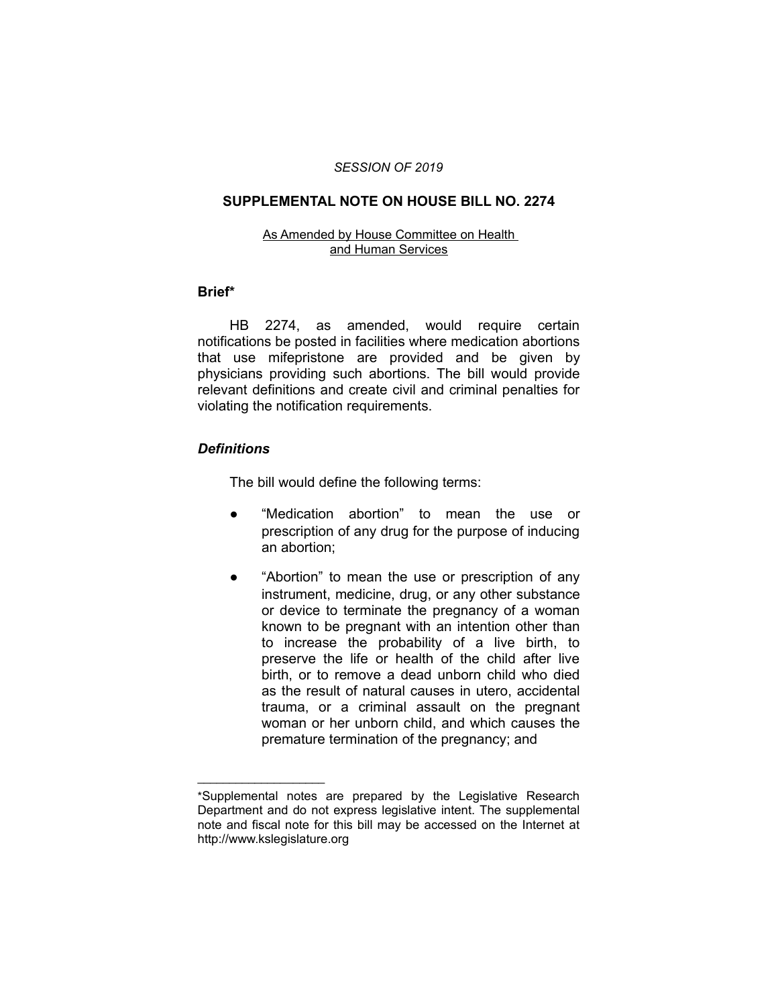#### *SESSION OF 2019*

### **SUPPLEMENTAL NOTE ON HOUSE BILL NO. 2274**

#### As Amended by House Committee on Health and Human Services

#### **Brief\***

HB 2274, as amended, would require certain notifications be posted in facilities where medication abortions that use mifepristone are provided and be given by physicians providing such abortions. The bill would provide relevant definitions and create civil and criminal penalties for violating the notification requirements.

# *Definitions*

 $\overline{\phantom{a}}$  , where  $\overline{\phantom{a}}$ 

The bill would define the following terms:

- "Medication abortion" to mean the use or prescription of any drug for the purpose of inducing an abortion;
- "Abortion" to mean the use or prescription of any instrument, medicine, drug, or any other substance or device to terminate the pregnancy of a woman known to be pregnant with an intention other than to increase the probability of a live birth, to preserve the life or health of the child after live birth, or to remove a dead unborn child who died as the result of natural causes in utero, accidental trauma, or a criminal assault on the pregnant woman or her unborn child, and which causes the premature termination of the pregnancy; and

<sup>\*</sup>Supplemental notes are prepared by the Legislative Research Department and do not express legislative intent. The supplemental note and fiscal note for this bill may be accessed on the Internet at http://www.kslegislature.org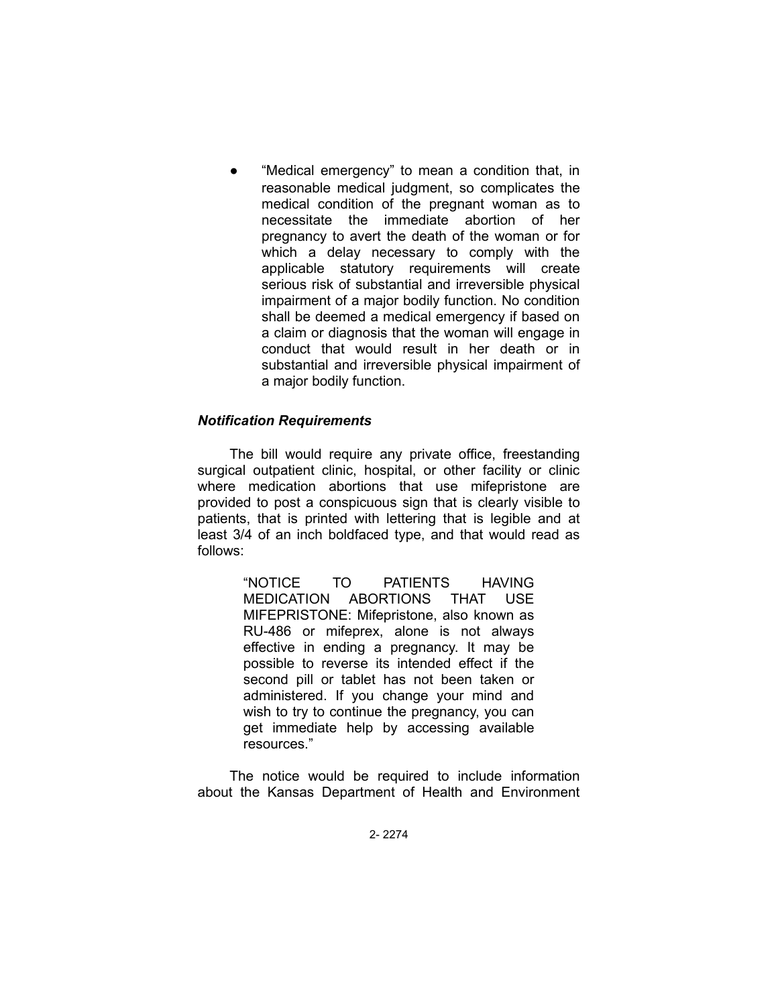"Medical emergency" to mean a condition that, in reasonable medical judgment, so complicates the medical condition of the pregnant woman as to necessitate the immediate abortion of her pregnancy to avert the death of the woman or for which a delay necessary to comply with the applicable statutory requirements will create serious risk of substantial and irreversible physical impairment of a major bodily function. No condition shall be deemed a medical emergency if based on a claim or diagnosis that the woman will engage in conduct that would result in her death or in substantial and irreversible physical impairment of a major bodily function.

# *Notification Requirements*

The bill would require any private office, freestanding surgical outpatient clinic, hospital, or other facility or clinic where medication abortions that use mifepristone are provided to post a conspicuous sign that is clearly visible to patients, that is printed with lettering that is legible and at least 3/4 of an inch boldfaced type, and that would read as follows:

> "NOTICE TO PATIENTS HAVING MEDICATION ABORTIONS THAT USE MIFEPRISTONE: Mifepristone, also known as RU-486 or mifeprex, alone is not always effective in ending a pregnancy. It may be possible to reverse its intended effect if the second pill or tablet has not been taken or administered. If you change your mind and wish to try to continue the pregnancy, you can get immediate help by accessing available resources."

The notice would be required to include information about the Kansas Department of Health and Environment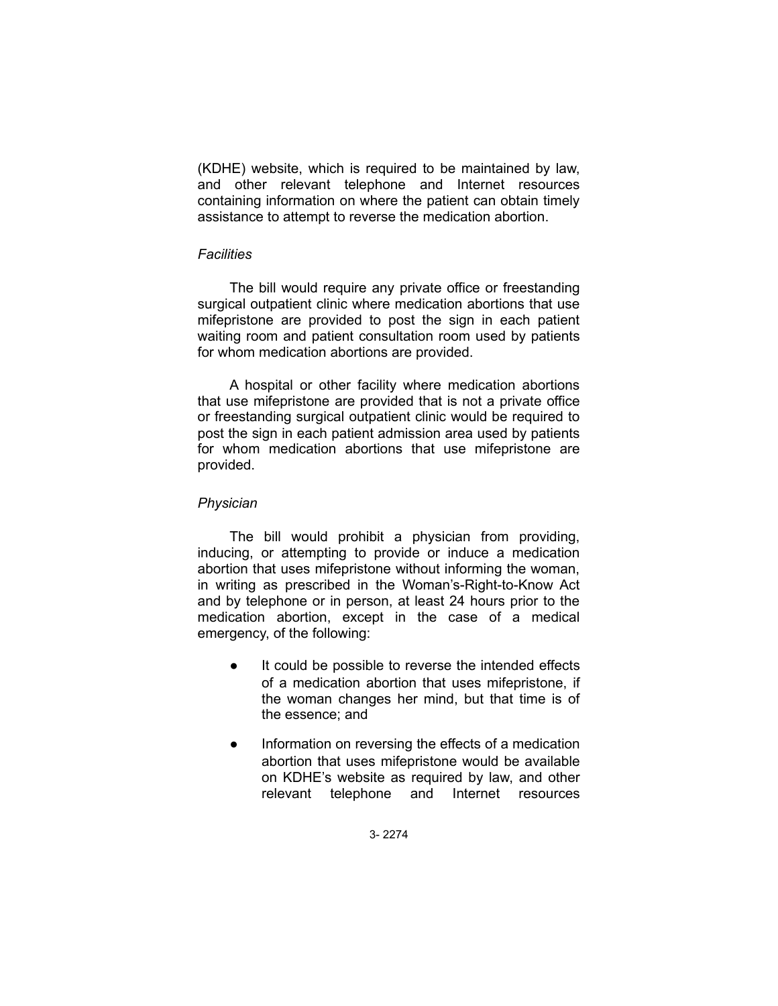(KDHE) website, which is required to be maintained by law, and other relevant telephone and Internet resources containing information on where the patient can obtain timely assistance to attempt to reverse the medication abortion.

### *Facilities*

The bill would require any private office or freestanding surgical outpatient clinic where medication abortions that use mifepristone are provided to post the sign in each patient waiting room and patient consultation room used by patients for whom medication abortions are provided.

A hospital or other facility where medication abortions that use mifepristone are provided that is not a private office or freestanding surgical outpatient clinic would be required to post the sign in each patient admission area used by patients for whom medication abortions that use mifepristone are provided.

### *Physician*

The bill would prohibit a physician from providing, inducing, or attempting to provide or induce a medication abortion that uses mifepristone without informing the woman, in writing as prescribed in the Woman's-Right-to-Know Act and by telephone or in person, at least 24 hours prior to the medication abortion, except in the case of a medical emergency, of the following:

- It could be possible to reverse the intended effects of a medication abortion that uses mifepristone, if the woman changes her mind, but that time is of the essence; and
- Information on reversing the effects of a medication abortion that uses mifepristone would be available on KDHE's website as required by law, and other relevant telephone and Internet resources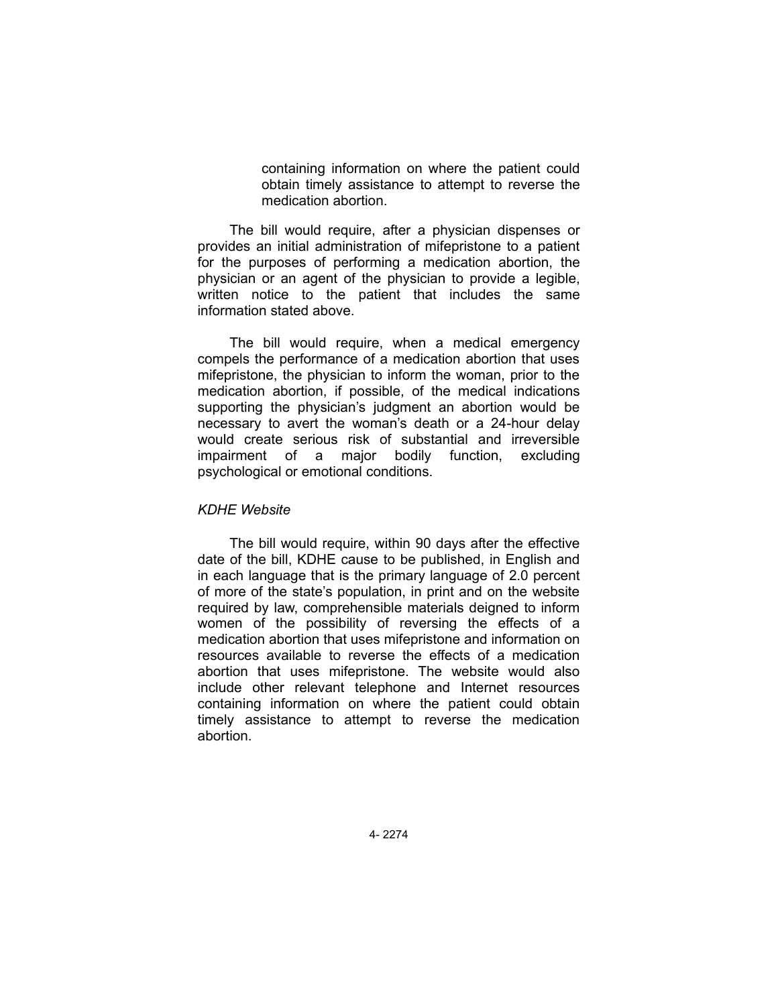containing information on where the patient could obtain timely assistance to attempt to reverse the medication abortion.

The bill would require, after a physician dispenses or provides an initial administration of mifepristone to a patient for the purposes of performing a medication abortion, the physician or an agent of the physician to provide a legible, written notice to the patient that includes the same information stated above.

The bill would require, when a medical emergency compels the performance of a medication abortion that uses mifepristone, the physician to inform the woman, prior to the medication abortion, if possible, of the medical indications supporting the physician's judgment an abortion would be necessary to avert the woman's death or a 24-hour delay would create serious risk of substantial and irreversible impairment of a major bodily function, excluding psychological or emotional conditions.

### *KDHE Website*

The bill would require, within 90 days after the effective date of the bill, KDHE cause to be published, in English and in each language that is the primary language of 2.0 percent of more of the state's population, in print and on the website required by law, comprehensible materials deigned to inform women of the possibility of reversing the effects of a medication abortion that uses mifepristone and information on resources available to reverse the effects of a medication abortion that uses mifepristone. The website would also include other relevant telephone and Internet resources containing information on where the patient could obtain timely assistance to attempt to reverse the medication abortion.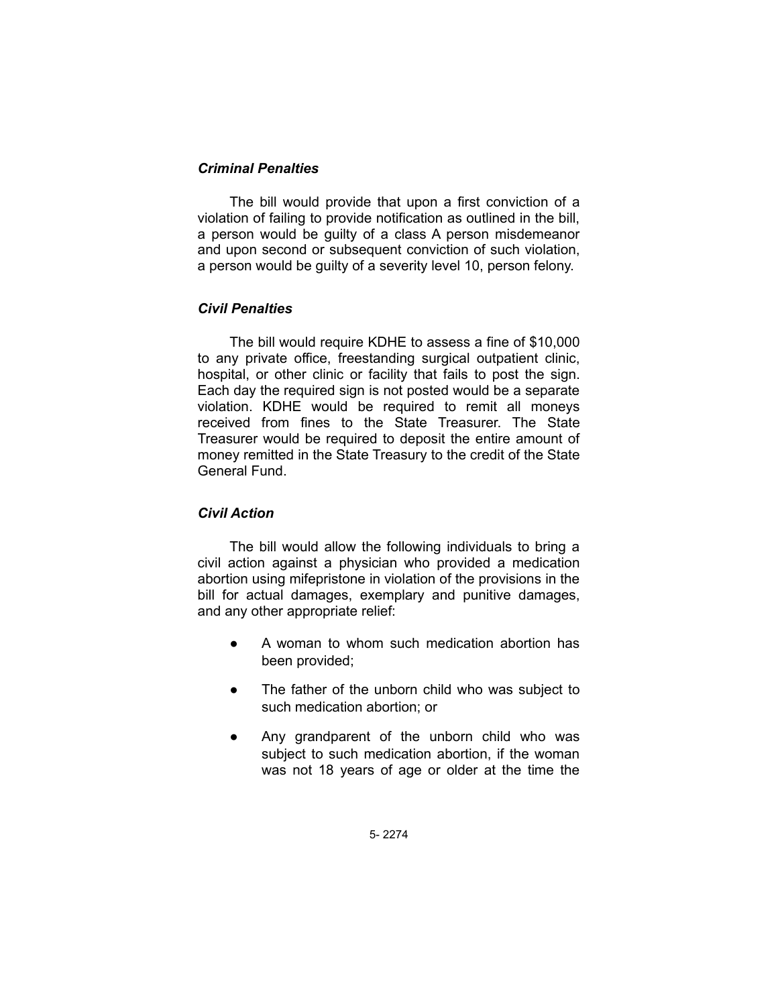# *Criminal Penalties*

The bill would provide that upon a first conviction of a violation of failing to provide notification as outlined in the bill, a person would be guilty of a class A person misdemeanor and upon second or subsequent conviction of such violation, a person would be guilty of a severity level 10, person felony.

# *Civil Penalties*

The bill would require KDHE to assess a fine of \$10,000 to any private office, freestanding surgical outpatient clinic, hospital, or other clinic or facility that fails to post the sign. Each day the required sign is not posted would be a separate violation. KDHE would be required to remit all moneys received from fines to the State Treasurer. The State Treasurer would be required to deposit the entire amount of money remitted in the State Treasury to the credit of the State General Fund.

# *Civil Action*

The bill would allow the following individuals to bring a civil action against a physician who provided a medication abortion using mifepristone in violation of the provisions in the bill for actual damages, exemplary and punitive damages, and any other appropriate relief:

- A woman to whom such medication abortion has been provided;
- The father of the unborn child who was subject to such medication abortion; or
- Any grandparent of the unborn child who was subject to such medication abortion, if the woman was not 18 years of age or older at the time the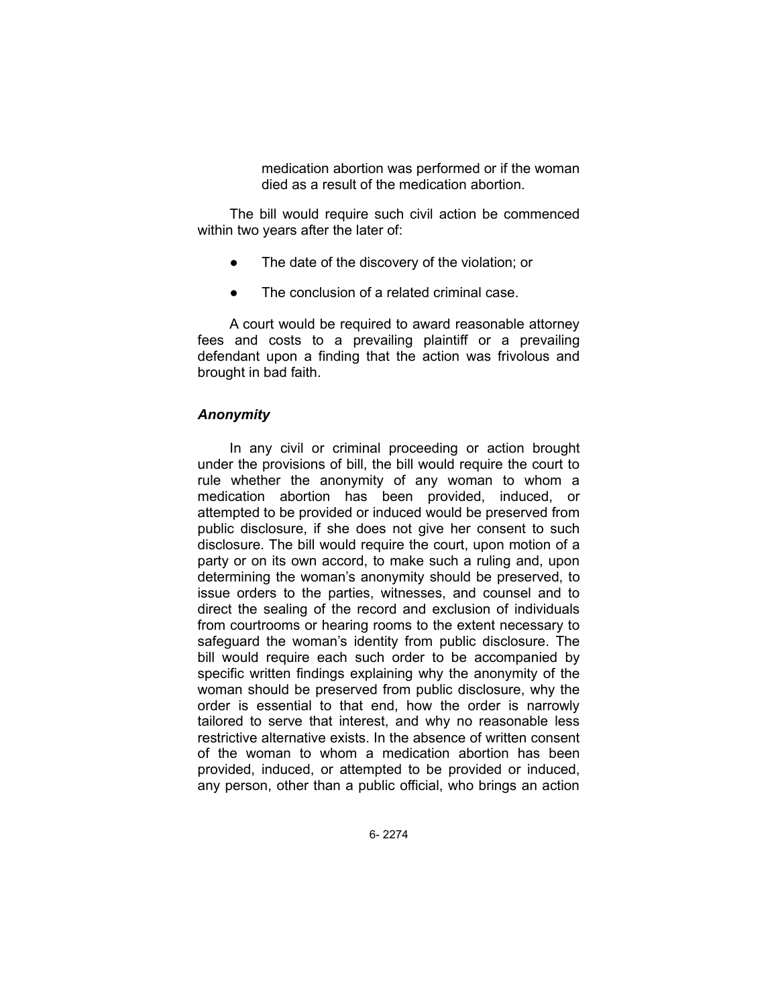medication abortion was performed or if the woman died as a result of the medication abortion.

The bill would require such civil action be commenced within two years after the later of:

- The date of the discovery of the violation; or
- The conclusion of a related criminal case.

A court would be required to award reasonable attorney fees and costs to a prevailing plaintiff or a prevailing defendant upon a finding that the action was frivolous and brought in bad faith.

#### *Anonymity*

In any civil or criminal proceeding or action brought under the provisions of bill, the bill would require the court to rule whether the anonymity of any woman to whom a medication abortion has been provided, induced, or attempted to be provided or induced would be preserved from public disclosure, if she does not give her consent to such disclosure. The bill would require the court, upon motion of a party or on its own accord, to make such a ruling and, upon determining the woman's anonymity should be preserved, to issue orders to the parties, witnesses, and counsel and to direct the sealing of the record and exclusion of individuals from courtrooms or hearing rooms to the extent necessary to safeguard the woman's identity from public disclosure. The bill would require each such order to be accompanied by specific written findings explaining why the anonymity of the woman should be preserved from public disclosure, why the order is essential to that end, how the order is narrowly tailored to serve that interest, and why no reasonable less restrictive alternative exists. In the absence of written consent of the woman to whom a medication abortion has been provided, induced, or attempted to be provided or induced, any person, other than a public official, who brings an action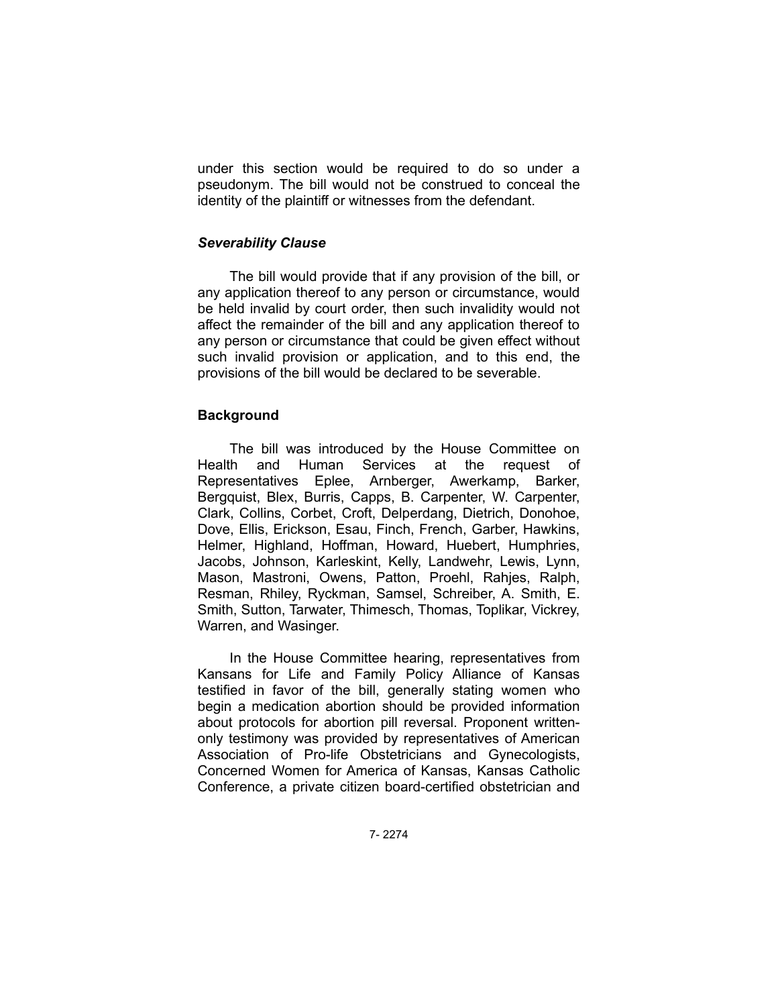under this section would be required to do so under a pseudonym. The bill would not be construed to conceal the identity of the plaintiff or witnesses from the defendant.

### *Severability Clause*

The bill would provide that if any provision of the bill, or any application thereof to any person or circumstance, would be held invalid by court order, then such invalidity would not affect the remainder of the bill and any application thereof to any person or circumstance that could be given effect without such invalid provision or application, and to this end, the provisions of the bill would be declared to be severable.

# **Background**

The bill was introduced by the House Committee on Health and Human Services at the request of Representatives Eplee, Arnberger, Awerkamp, Barker, Bergquist, Blex, Burris, Capps, B. Carpenter, W. Carpenter, Clark, Collins, Corbet, Croft, Delperdang, Dietrich, Donohoe, Dove, Ellis, Erickson, Esau, Finch, French, Garber, Hawkins, Helmer, Highland, Hoffman, Howard, Huebert, Humphries, Jacobs, Johnson, Karleskint, Kelly, Landwehr, Lewis, Lynn, Mason, Mastroni, Owens, Patton, Proehl, Rahjes, Ralph, Resman, Rhiley, Ryckman, Samsel, Schreiber, A. Smith, E. Smith, Sutton, Tarwater, Thimesch, Thomas, Toplikar, Vickrey, Warren, and Wasinger.

In the House Committee hearing, representatives from Kansans for Life and Family Policy Alliance of Kansas testified in favor of the bill, generally stating women who begin a medication abortion should be provided information about protocols for abortion pill reversal. Proponent writtenonly testimony was provided by representatives of American Association of Pro-life Obstetricians and Gynecologists, Concerned Women for America of Kansas, Kansas Catholic Conference, a private citizen board-certified obstetrician and